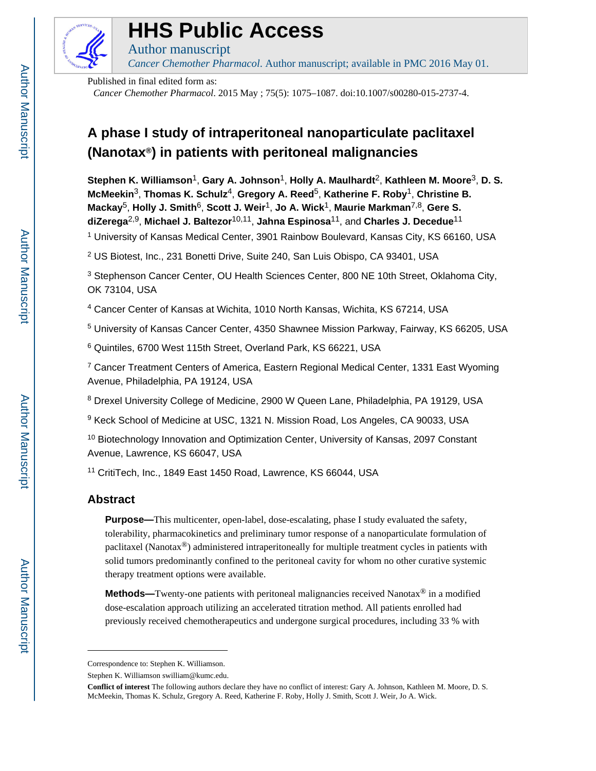

# **HHS Public Access**

*Cancer Chemother Pharmacol*. Author manuscript; available in PMC 2016 May 01.

Published in final edited form as:

Author manuscript

*Cancer Chemother Pharmacol*. 2015 May ; 75(5): 1075–1087. doi:10.1007/s00280-015-2737-4.

## **A phase I study of intraperitoneal nanoparticulate paclitaxel (Nanotax®) in patients with peritoneal malignancies**

**Stephen K. Williamson**1, **Gary A. Johnson**1, **Holly A. Maulhardt**2, **Kathleen M. Moore**3, **D. S. McMeekin**3, **Thomas K. Schulz**4, **Gregory A. Reed**5, **Katherine F. Roby**1, **Christine B. Mackay**5, **Holly J. Smith**6, **Scott J. Weir**1, **Jo A. Wick**1, **Maurie Markman**7,8, **Gere S. diZerega**2,9, **Michael J. Baltezor**10,11, **Jahna Espinosa**11, and **Charles J. Decedue**<sup>11</sup> <sup>1</sup> University of Kansas Medical Center, 3901 Rainbow Boulevard, Kansas City, KS 66160, USA

<sup>2</sup> US Biotest, Inc., 231 Bonetti Drive, Suite 240, San Luis Obispo, CA 93401, USA

<sup>3</sup> Stephenson Cancer Center, OU Health Sciences Center, 800 NE 10th Street, Oklahoma City, OK 73104, USA

4 Cancer Center of Kansas at Wichita, 1010 North Kansas, Wichita, KS 67214, USA

5 University of Kansas Cancer Center, 4350 Shawnee Mission Parkway, Fairway, KS 66205, USA

6 Quintiles, 6700 West 115th Street, Overland Park, KS 66221, USA

<sup>7</sup> Cancer Treatment Centers of America, Eastern Regional Medical Center, 1331 East Wyoming Avenue, Philadelphia, PA 19124, USA

<sup>8</sup> Drexel University College of Medicine, 2900 W Queen Lane, Philadelphia, PA 19129, USA

<sup>9</sup> Keck School of Medicine at USC, 1321 N. Mission Road, Los Angeles, CA 90033, USA

<sup>10</sup> Biotechnology Innovation and Optimization Center, University of Kansas, 2097 Constant Avenue, Lawrence, KS 66047, USA

<sup>11</sup> CritiTech, Inc., 1849 East 1450 Road, Lawrence, KS 66044, USA

## **Abstract**

**Purpose—**This multicenter, open-label, dose-escalating, phase I study evaluated the safety, tolerability, pharmacokinetics and preliminary tumor response of a nanoparticulate formulation of paclitaxel (Nanotax<sup>®</sup>) administered intraperitoneally for multiple treatment cycles in patients with solid tumors predominantly confined to the peritoneal cavity for whom no other curative systemic therapy treatment options were available.

**Methods—**Twenty-one patients with peritoneal malignancies received Nanotax® in a modified dose-escalation approach utilizing an accelerated titration method. All patients enrolled had previously received chemotherapeutics and undergone surgical procedures, including 33 % with

Correspondence to: Stephen K. Williamson.

Stephen K. Williamson swilliam@kumc.edu.

**Conflict of interest** The following authors declare they have no conflict of interest: Gary A. Johnson, Kathleen M. Moore, D. S. McMeekin, Thomas K. Schulz, Gregory A. Reed, Katherine F. Roby, Holly J. Smith, Scott J. Weir, Jo A. Wick.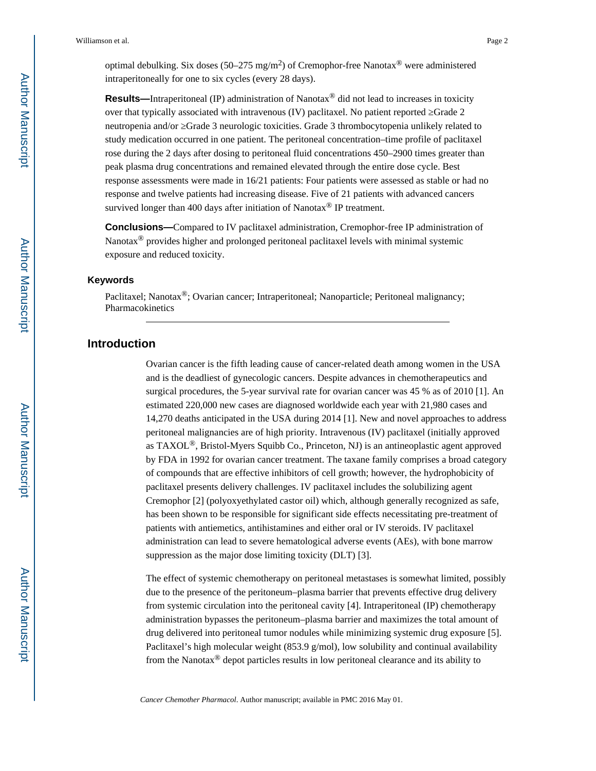**Results—**Intraperitoneal (IP) administration of Nanotax® did not lead to increases in toxicity over that typically associated with intravenous (IV) paclitaxel. No patient reported Grade 2 neutropenia and/or Grade 3 neurologic toxicities. Grade 3 thrombocytopenia unlikely related to study medication occurred in one patient. The peritoneal concentration–time profile of paclitaxel rose during the 2 days after dosing to peritoneal fluid concentrations 450–2900 times greater than peak plasma drug concentrations and remained elevated through the entire dose cycle. Best response assessments were made in 16/21 patients: Four patients were assessed as stable or had no response and twelve patients had increasing disease. Five of 21 patients with advanced cancers survived longer than 400 days after initiation of Nanotax<sup>®</sup> IP treatment.

**Conclusions—**Compared to IV paclitaxel administration, Cremophor-free IP administration of Nanotax<sup>®</sup> provides higher and prolonged peritoneal paclitaxel levels with minimal systemic exposure and reduced toxicity.

#### **Keywords**

Paclitaxel; Nanotax<sup>®</sup>; Ovarian cancer; Intraperitoneal; Nanoparticle; Peritoneal malignancy; Pharmacokinetics

## **Introduction**

Ovarian cancer is the fifth leading cause of cancer-related death among women in the USA and is the deadliest of gynecologic cancers. Despite advances in chemotherapeutics and surgical procedures, the 5-year survival rate for ovarian cancer was 45 % as of 2010 [1]. An estimated 220,000 new cases are diagnosed worldwide each year with 21,980 cases and 14,270 deaths anticipated in the USA during 2014 [1]. New and novel approaches to address peritoneal malignancies are of high priority. Intravenous (IV) paclitaxel (initially approved as TAXOL®, Bristol-Myers Squibb Co., Princeton, NJ) is an antineoplastic agent approved by FDA in 1992 for ovarian cancer treatment. The taxane family comprises a broad category of compounds that are effective inhibitors of cell growth; however, the hydrophobicity of paclitaxel presents delivery challenges. IV paclitaxel includes the solubilizing agent Cremophor [2] (polyoxyethylated castor oil) which, although generally recognized as safe, has been shown to be responsible for significant side effects necessitating pre-treatment of patients with antiemetics, antihistamines and either oral or IV steroids. IV paclitaxel administration can lead to severe hematological adverse events (AEs), with bone marrow suppression as the major dose limiting toxicity (DLT) [3].

The effect of systemic chemotherapy on peritoneal metastases is somewhat limited, possibly due to the presence of the peritoneum–plasma barrier that prevents effective drug delivery from systemic circulation into the peritoneal cavity [4]. Intraperitoneal (IP) chemotherapy administration bypasses the peritoneum–plasma barrier and maximizes the total amount of drug delivered into peritoneal tumor nodules while minimizing systemic drug exposure [5]. Paclitaxel's high molecular weight (853.9 g/mol), low solubility and continual availability from the Nanotax $\mathcal{O}$  depot particles results in low peritoneal clearance and its ability to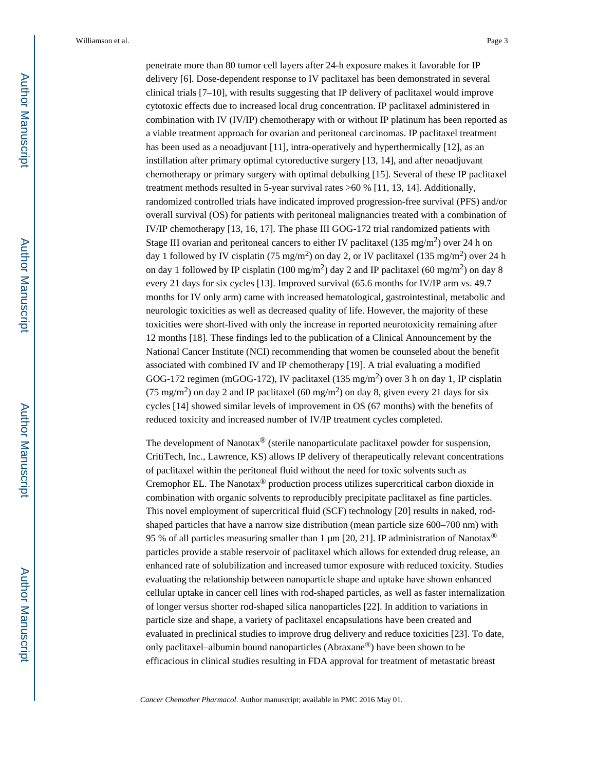penetrate more than 80 tumor cell layers after 24-h exposure makes it favorable for IP delivery [6]. Dose-dependent response to IV paclitaxel has been demonstrated in several clinical trials [7–10], with results suggesting that IP delivery of paclitaxel would improve cytotoxic effects due to increased local drug concentration. IP paclitaxel administered in combination with IV (IV/IP) chemotherapy with or without IP platinum has been reported as a viable treatment approach for ovarian and peritoneal carcinomas. IP paclitaxel treatment has been used as a neoadjuvant [11], intra-operatively and hyperthermically [12], as an instillation after primary optimal cytoreductive surgery [13, 14], and after neoadjuvant chemotherapy or primary surgery with optimal debulking [15]. Several of these IP paclitaxel treatment methods resulted in 5-year survival rates >60 % [11, 13, 14]. Additionally, randomized controlled trials have indicated improved progression-free survival (PFS) and/or overall survival (OS) for patients with peritoneal malignancies treated with a combination of IV/IP chemotherapy [13, 16, 17]. The phase III GOG-172 trial randomized patients with Stage III ovarian and peritoneal cancers to either IV paclitaxel (135 mg/m<sup>2</sup>) over 24 h on day 1 followed by IV cisplatin (75 mg/m<sup>2</sup>) on day 2, or IV paclitaxel (135 mg/m<sup>2</sup>) over 24 h on day 1 followed by IP cisplatin (100 mg/m<sup>2</sup>) day 2 and IP paclitaxel (60 mg/m<sup>2</sup>) on day 8 every 21 days for six cycles [13]. Improved survival (65.6 months for IV/IP arm vs. 49.7 months for IV only arm) came with increased hematological, gastrointestinal, metabolic and neurologic toxicities as well as decreased quality of life. However, the majority of these toxicities were short-lived with only the increase in reported neurotoxicity remaining after 12 months [18]. These findings led to the publication of a Clinical Announcement by the National Cancer Institute (NCI) recommending that women be counseled about the benefit associated with combined IV and IP chemotherapy [19]. A trial evaluating a modified GOG-172 regimen (mGOG-172), IV paclitaxel (135 mg/m<sup>2</sup>) over 3 h on day 1, IP cisplatin (75 mg/m<sup>2</sup>) on day 2 and IP paclitaxel (60 mg/m<sup>2</sup>) on day 8, given every 21 days for six cycles [14] showed similar levels of improvement in OS (67 months) with the benefits of reduced toxicity and increased number of IV/IP treatment cycles completed.

The development of Nanotax $^{\circledR}$  (sterile nanoparticulate paclitaxel powder for suspension, CritiTech, Inc., Lawrence, KS) allows IP delivery of therapeutically relevant concentrations of paclitaxel within the peritoneal fluid without the need for toxic solvents such as Cremophor EL. The Nanotax® production process utilizes supercritical carbon dioxide in combination with organic solvents to reproducibly precipitate paclitaxel as fine particles. This novel employment of supercritical fluid (SCF) technology [20] results in naked, rodshaped particles that have a narrow size distribution (mean particle size 600–700 nm) with 95 % of all particles measuring smaller than 1  $\mu$ m [20, 21]. IP administration of Nanotax<sup>®</sup> particles provide a stable reservoir of paclitaxel which allows for extended drug release, an enhanced rate of solubilization and increased tumor exposure with reduced toxicity. Studies evaluating the relationship between nanoparticle shape and uptake have shown enhanced cellular uptake in cancer cell lines with rod-shaped particles, as well as faster internalization of longer versus shorter rod-shaped silica nanoparticles [22]. In addition to variations in particle size and shape, a variety of paclitaxel encapsulations have been created and evaluated in preclinical studies to improve drug delivery and reduce toxicities [23]. To date, only paclitaxel–albumin bound nanoparticles (Abraxane®) have been shown to be efficacious in clinical studies resulting in FDA approval for treatment of metastatic breast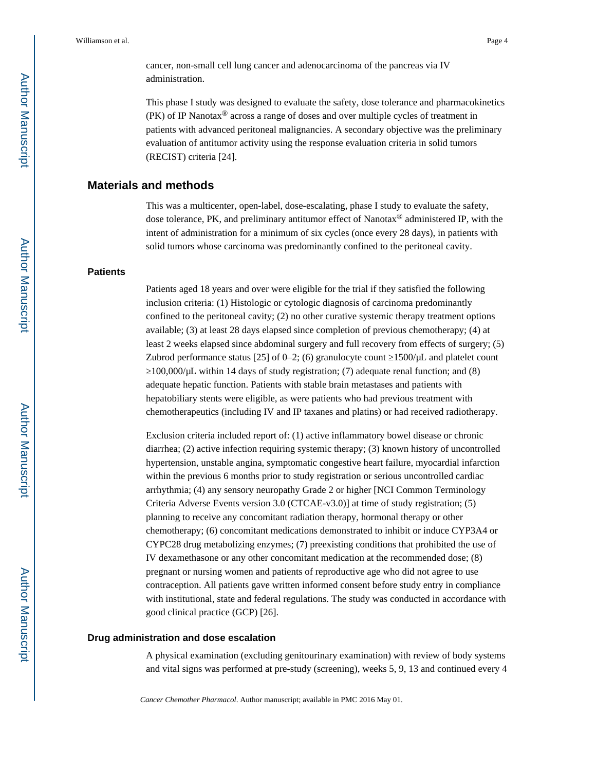cancer, non-small cell lung cancer and adenocarcinoma of the pancreas via IV administration.

This phase I study was designed to evaluate the safety, dose tolerance and pharmacokinetics (PK) of IP Nanotax® across a range of doses and over multiple cycles of treatment in patients with advanced peritoneal malignancies. A secondary objective was the preliminary evaluation of antitumor activity using the response evaluation criteria in solid tumors (RECIST) criteria [24].

## **Materials and methods**

This was a multicenter, open-label, dose-escalating, phase I study to evaluate the safety, dose tolerance, PK, and preliminary antitumor effect of Nanotax® administered IP, with the intent of administration for a minimum of six cycles (once every 28 days), in patients with solid tumors whose carcinoma was predominantly confined to the peritoneal cavity.

#### **Patients**

Patients aged 18 years and over were eligible for the trial if they satisfied the following inclusion criteria: (1) Histologic or cytologic diagnosis of carcinoma predominantly confined to the peritoneal cavity; (2) no other curative systemic therapy treatment options available; (3) at least 28 days elapsed since completion of previous chemotherapy; (4) at least 2 weeks elapsed since abdominal surgery and full recovery from effects of surgery; (5) Zubrod performance status [25] of 0–2; (6) granulocyte count  $1500/\mu$ L and platelet count

≥100,000/μL within 14 days of study registration; (7) adequate renal function; and (8) adequate hepatic function. Patients with stable brain metastases and patients with hepatobiliary stents were eligible, as were patients who had previous treatment with chemotherapeutics (including IV and IP taxanes and platins) or had received radiotherapy.

Exclusion criteria included report of: (1) active inflammatory bowel disease or chronic diarrhea; (2) active infection requiring systemic therapy; (3) known history of uncontrolled hypertension, unstable angina, symptomatic congestive heart failure, myocardial infarction within the previous 6 months prior to study registration or serious uncontrolled cardiac arrhythmia; (4) any sensory neuropathy Grade 2 or higher [NCI Common Terminology Criteria Adverse Events version 3.0 (CTCAE-v3.0)] at time of study registration; (5) planning to receive any concomitant radiation therapy, hormonal therapy or other chemotherapy; (6) concomitant medications demonstrated to inhibit or induce CYP3A4 or CYPC28 drug metabolizing enzymes; (7) preexisting conditions that prohibited the use of IV dexamethasone or any other concomitant medication at the recommended dose; (8) pregnant or nursing women and patients of reproductive age who did not agree to use contraception. All patients gave written informed consent before study entry in compliance with institutional, state and federal regulations. The study was conducted in accordance with good clinical practice (GCP) [26].

#### **Drug administration and dose escalation**

A physical examination (excluding genitourinary examination) with review of body systems and vital signs was performed at pre-study (screening), weeks 5, 9, 13 and continued every 4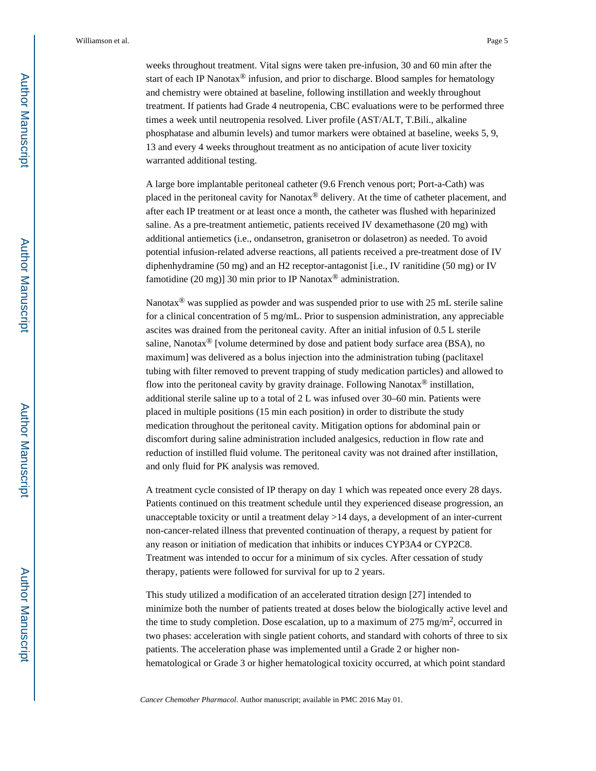weeks throughout treatment. Vital signs were taken pre-infusion, 30 and 60 min after the start of each IP Nanotax<sup>®</sup> infusion, and prior to discharge. Blood samples for hematology and chemistry were obtained at baseline, following instillation and weekly throughout treatment. If patients had Grade 4 neutropenia, CBC evaluations were to be performed three times a week until neutropenia resolved. Liver profile (AST/ALT, T.Bili., alkaline phosphatase and albumin levels) and tumor markers were obtained at baseline, weeks 5, 9, 13 and every 4 weeks throughout treatment as no anticipation of acute liver toxicity warranted additional testing.

A large bore implantable peritoneal catheter (9.6 French venous port; Port-a-Cath) was placed in the peritoneal cavity for Nanotax® delivery. At the time of catheter placement, and after each IP treatment or at least once a month, the catheter was flushed with heparinized saline. As a pre-treatment antiemetic, patients received IV dexamethasone (20 mg) with additional antiemetics (i.e., ondansetron, granisetron or dolasetron) as needed. To avoid potential infusion-related adverse reactions, all patients received a pre-treatment dose of IV diphenhydramine (50 mg) and an H2 receptor-antagonist [i.e., IV ranitidine (50 mg) or IV famotidine (20 mg)] 30 min prior to IP Nanotax<sup>®</sup> administration.

Nanotax<sup>®</sup> was supplied as powder and was suspended prior to use with 25 mL sterile saline for a clinical concentration of 5 mg/mL. Prior to suspension administration, any appreciable ascites was drained from the peritoneal cavity. After an initial infusion of 0.5 L sterile saline, Nanotax<sup>®</sup> [volume determined by dose and patient body surface area (BSA), no maximum] was delivered as a bolus injection into the administration tubing (paclitaxel tubing with filter removed to prevent trapping of study medication particles) and allowed to flow into the peritoneal cavity by gravity drainage. Following Nanotax® instillation, additional sterile saline up to a total of 2 L was infused over 30–60 min. Patients were placed in multiple positions (15 min each position) in order to distribute the study medication throughout the peritoneal cavity. Mitigation options for abdominal pain or discomfort during saline administration included analgesics, reduction in flow rate and reduction of instilled fluid volume. The peritoneal cavity was not drained after instillation, and only fluid for PK analysis was removed.

A treatment cycle consisted of IP therapy on day 1 which was repeated once every 28 days. Patients continued on this treatment schedule until they experienced disease progression, an unacceptable toxicity or until a treatment delay >14 days, a development of an inter-current non-cancer-related illness that prevented continuation of therapy, a request by patient for any reason or initiation of medication that inhibits or induces CYP3A4 or CYP2C8. Treatment was intended to occur for a minimum of six cycles. After cessation of study therapy, patients were followed for survival for up to 2 years.

This study utilized a modification of an accelerated titration design [27] intended to minimize both the number of patients treated at doses below the biologically active level and the time to study completion. Dose escalation, up to a maximum of  $275 \text{ mg/m}^2$ , occurred in two phases: acceleration with single patient cohorts, and standard with cohorts of three to six patients. The acceleration phase was implemented until a Grade 2 or higher nonhematological or Grade 3 or higher hematological toxicity occurred, at which point standard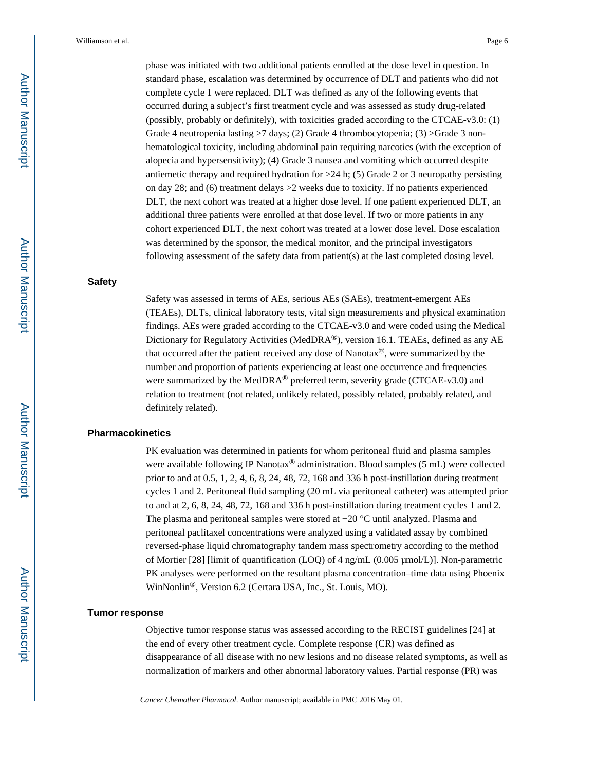phase was initiated with two additional patients enrolled at the dose level in question. In standard phase, escalation was determined by occurrence of DLT and patients who did not complete cycle 1 were replaced. DLT was defined as any of the following events that occurred during a subject's first treatment cycle and was assessed as study drug-related (possibly, probably or definitely), with toxicities graded according to the CTCAE-v3.0: (1) Grade 4 neutropenia lasting  $>7$  days; (2) Grade 4 thrombocytopenia; (3) Grade 3 nonhematological toxicity, including abdominal pain requiring narcotics (with the exception of alopecia and hypersensitivity); (4) Grade 3 nausea and vomiting which occurred despite antiemetic therapy and required hydration for  $24$  h; (5) Grade 2 or 3 neuropathy persisting on day 28; and (6) treatment delays >2 weeks due to toxicity. If no patients experienced DLT, the next cohort was treated at a higher dose level. If one patient experienced DLT, an additional three patients were enrolled at that dose level. If two or more patients in any cohort experienced DLT, the next cohort was treated at a lower dose level. Dose escalation was determined by the sponsor, the medical monitor, and the principal investigators following assessment of the safety data from patient(s) at the last completed dosing level.

#### **Safety**

Safety was assessed in terms of AEs, serious AEs (SAEs), treatment-emergent AEs (TEAEs), DLTs, clinical laboratory tests, vital sign measurements and physical examination findings. AEs were graded according to the CTCAE-v3.0 and were coded using the Medical Dictionary for Regulatory Activities (MedDRA®), version 16.1. TEAEs, defined as any AE that occurred after the patient received any dose of Nanotax®, were summarized by the number and proportion of patients experiencing at least one occurrence and frequencies were summarized by the MedDRA<sup>®</sup> preferred term, severity grade (CTCAE-v3.0) and relation to treatment (not related, unlikely related, possibly related, probably related, and definitely related).

#### **Pharmacokinetics**

PK evaluation was determined in patients for whom peritoneal fluid and plasma samples were available following IP Nanotax<sup>®</sup> administration. Blood samples (5 mL) were collected prior to and at 0.5, 1, 2, 4, 6, 8, 24, 48, 72, 168 and 336 h post-instillation during treatment cycles 1 and 2. Peritoneal fluid sampling (20 mL via peritoneal catheter) was attempted prior to and at 2, 6, 8, 24, 48, 72, 168 and 336 h post-instillation during treatment cycles 1 and 2. The plasma and peritoneal samples were stored at −20 °C until analyzed. Plasma and peritoneal paclitaxel concentrations were analyzed using a validated assay by combined reversed-phase liquid chromatography tandem mass spectrometry according to the method of Mortier [28] [limit of quantification (LOQ) of 4 ng/mL (0.005 μmol/L)]. Non-parametric PK analyses were performed on the resultant plasma concentration–time data using Phoenix WinNonlin®, Version 6.2 (Certara USA, Inc., St. Louis, MO).

#### **Tumor response**

Objective tumor response status was assessed according to the RECIST guidelines [24] at the end of every other treatment cycle. Complete response (CR) was defined as disappearance of all disease with no new lesions and no disease related symptoms, as well as normalization of markers and other abnormal laboratory values. Partial response (PR) was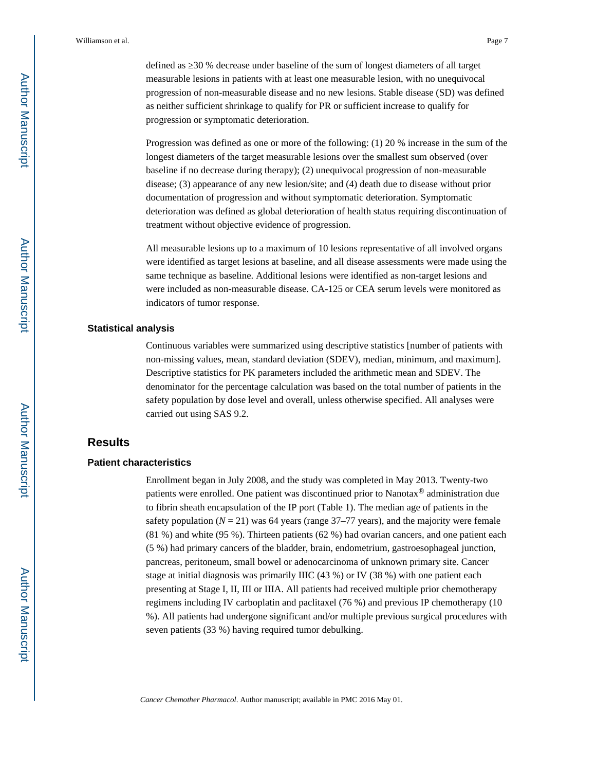defined as ≥30 % decrease under baseline of the sum of longest diameters of all target measurable lesions in patients with at least one measurable lesion, with no unequivocal progression of non-measurable disease and no new lesions. Stable disease (SD) was defined as neither sufficient shrinkage to qualify for PR or sufficient increase to qualify for progression or symptomatic deterioration.

Progression was defined as one or more of the following: (1) 20 % increase in the sum of the longest diameters of the target measurable lesions over the smallest sum observed (over baseline if no decrease during therapy); (2) unequivocal progression of non-measurable disease; (3) appearance of any new lesion/site; and (4) death due to disease without prior documentation of progression and without symptomatic deterioration. Symptomatic deterioration was defined as global deterioration of health status requiring discontinuation of treatment without objective evidence of progression.

All measurable lesions up to a maximum of 10 lesions representative of all involved organs were identified as target lesions at baseline, and all disease assessments were made using the same technique as baseline. Additional lesions were identified as non-target lesions and were included as non-measurable disease. CA-125 or CEA serum levels were monitored as indicators of tumor response.

#### **Statistical analysis**

Continuous variables were summarized using descriptive statistics [number of patients with non-missing values, mean, standard deviation (SDEV), median, minimum, and maximum]. Descriptive statistics for PK parameters included the arithmetic mean and SDEV. The denominator for the percentage calculation was based on the total number of patients in the safety population by dose level and overall, unless otherwise specified. All analyses were carried out using SAS 9.2.

## **Results**

#### **Patient characteristics**

Enrollment began in July 2008, and the study was completed in May 2013. Twenty-two patients were enrolled. One patient was discontinued prior to Nanotax® administration due to fibrin sheath encapsulation of the IP port (Table 1). The median age of patients in the safety population  $(N = 21)$  was 64 years (range 37–77 years), and the majority were female (81 %) and white (95 %). Thirteen patients (62 %) had ovarian cancers, and one patient each (5 %) had primary cancers of the bladder, brain, endometrium, gastroesophageal junction, pancreas, peritoneum, small bowel or adenocarcinoma of unknown primary site. Cancer stage at initial diagnosis was primarily IIIC (43 %) or IV (38 %) with one patient each presenting at Stage I, II, III or IIIA. All patients had received multiple prior chemotherapy regimens including IV carboplatin and paclitaxel (76 %) and previous IP chemotherapy (10 %). All patients had undergone significant and/or multiple previous surgical procedures with seven patients (33 %) having required tumor debulking.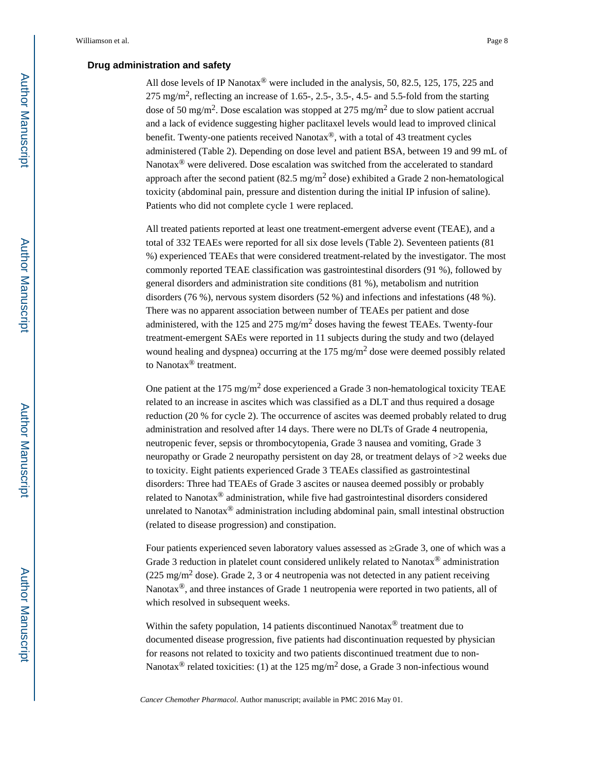## **Drug administration and safety**

All dose levels of IP Nanotax<sup>®</sup> were included in the analysis, 50, 82.5, 125, 175, 225 and  $275 \text{ mg/m}^2$ , reflecting an increase of 1.65-, 2.5-, 3.5-, 4.5- and 5.5-fold from the starting dose of 50 mg/m<sup>2</sup>. Dose escalation was stopped at 275 mg/m<sup>2</sup> due to slow patient accrual and a lack of evidence suggesting higher paclitaxel levels would lead to improved clinical benefit. Twenty-one patients received Nanotax $^{\circledR}$ , with a total of 43 treatment cycles administered (Table 2). Depending on dose level and patient BSA, between 19 and 99 mL of Nanotax<sup>®</sup> were delivered. Dose escalation was switched from the accelerated to standard approach after the second patient  $(82.5 \text{ mg/m}^2 \text{ dose})$  exhibited a Grade 2 non-hematological toxicity (abdominal pain, pressure and distention during the initial IP infusion of saline). Patients who did not complete cycle 1 were replaced.

All treated patients reported at least one treatment-emergent adverse event (TEAE), and a total of 332 TEAEs were reported for all six dose levels (Table 2). Seventeen patients (81 %) experienced TEAEs that were considered treatment-related by the investigator. The most commonly reported TEAE classification was gastrointestinal disorders (91 %), followed by general disorders and administration site conditions (81 %), metabolism and nutrition disorders (76 %), nervous system disorders (52 %) and infections and infestations (48 %). There was no apparent association between number of TEAEs per patient and dose administered, with the 125 and 275 mg/m<sup>2</sup> doses having the fewest TEAEs. Twenty-four treatment-emergent SAEs were reported in 11 subjects during the study and two (delayed wound healing and dyspnea) occurring at the  $175 \text{ mg/m}^2$  dose were deemed possibly related to Nanotax® treatment.

One patient at the 175 mg/m<sup>2</sup> dose experienced a Grade 3 non-hematological toxicity TEAE related to an increase in ascites which was classified as a DLT and thus required a dosage reduction (20 % for cycle 2). The occurrence of ascites was deemed probably related to drug administration and resolved after 14 days. There were no DLTs of Grade 4 neutropenia, neutropenic fever, sepsis or thrombocytopenia, Grade 3 nausea and vomiting, Grade 3 neuropathy or Grade 2 neuropathy persistent on day 28, or treatment delays of >2 weeks due to toxicity. Eight patients experienced Grade 3 TEAEs classified as gastrointestinal disorders: Three had TEAEs of Grade 3 ascites or nausea deemed possibly or probably related to Nanotax® administration, while five had gastrointestinal disorders considered unrelated to Nanotax® administration including abdominal pain, small intestinal obstruction (related to disease progression) and constipation.

Four patients experienced seven laboratory values assessed as  $\,$  Grade 3, one of which was a Grade 3 reduction in platelet count considered unlikely related to Nanotax® administration (225 mg/m<sup>2</sup> dose). Grade 2, 3 or 4 neutropenia was not detected in any patient receiving Nanotax®, and three instances of Grade 1 neutropenia were reported in two patients, all of which resolved in subsequent weeks.

Within the safety population, 14 patients discontinued Nanotax<sup>®</sup> treatment due to documented disease progression, five patients had discontinuation requested by physician for reasons not related to toxicity and two patients discontinued treatment due to non-Nanotax<sup>®</sup> related toxicities: (1) at the 125 mg/m<sup>2</sup> dose, a Grade 3 non-infectious wound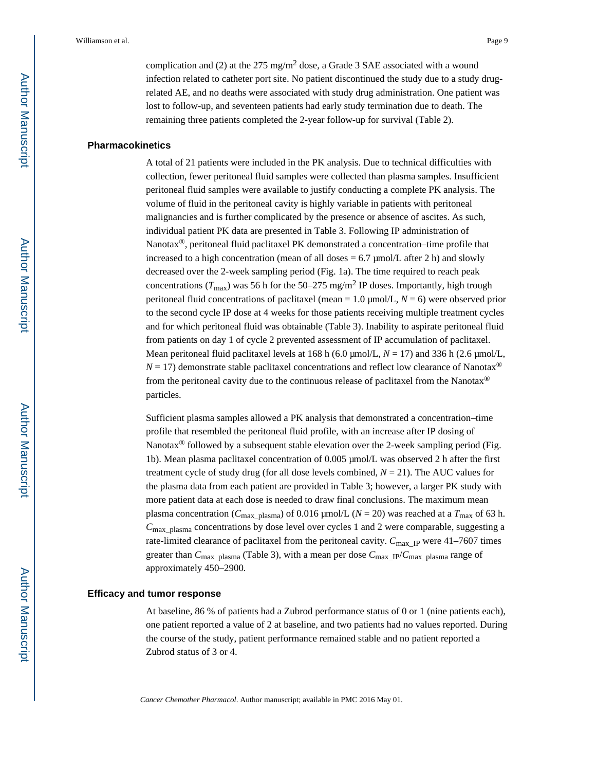complication and (2) at the 275 mg/m<sup>2</sup> dose, a Grade 3 SAE associated with a wound infection related to catheter port site. No patient discontinued the study due to a study drugrelated AE, and no deaths were associated with study drug administration. One patient was lost to follow-up, and seventeen patients had early study termination due to death. The remaining three patients completed the 2-year follow-up for survival (Table 2).

#### **Pharmacokinetics**

A total of 21 patients were included in the PK analysis. Due to technical difficulties with collection, fewer peritoneal fluid samples were collected than plasma samples. Insufficient peritoneal fluid samples were available to justify conducting a complete PK analysis. The volume of fluid in the peritoneal cavity is highly variable in patients with peritoneal malignancies and is further complicated by the presence or absence of ascites. As such, individual patient PK data are presented in Table 3. Following IP administration of Nanotax®, peritoneal fluid paclitaxel PK demonstrated a concentration–time profile that increased to a high concentration (mean of all doses  $= 6.7 \mu$ mol/L after 2 h) and slowly decreased over the 2-week sampling period (Fig. 1a). The time required to reach peak concentrations ( $T_{\text{max}}$ ) was 56 h for the 50–275 mg/m<sup>2</sup> IP doses. Importantly, high trough peritoneal fluid concentrations of paclitaxel (mean = 1.0 μmol/L, *N* = 6) were observed prior to the second cycle IP dose at 4 weeks for those patients receiving multiple treatment cycles and for which peritoneal fluid was obtainable (Table 3). Inability to aspirate peritoneal fluid from patients on day 1 of cycle 2 prevented assessment of IP accumulation of paclitaxel. Mean peritoneal fluid paclitaxel levels at 168 h (6.0 μmol/L, *N* = 17) and 336 h (2.6 μmol/L,  $N = 17$ ) demonstrate stable paclitaxel concentrations and reflect low clearance of Nanotax<sup>®</sup> from the peritoneal cavity due to the continuous release of paclitaxel from the Nanotax® particles.

Sufficient plasma samples allowed a PK analysis that demonstrated a concentration–time profile that resembled the peritoneal fluid profile, with an increase after IP dosing of Nanotax<sup>®</sup> followed by a subsequent stable elevation over the 2-week sampling period (Fig. 1b). Mean plasma paclitaxel concentration of 0.005 μmol/L was observed 2 h after the first treatment cycle of study drug (for all dose levels combined,  $N = 21$ ). The AUC values for the plasma data from each patient are provided in Table 3; however, a larger PK study with more patient data at each dose is needed to draw final conclusions. The maximum mean plasma concentration ( $C_{\text{max}}$  <sub>plasma</sub>) of 0.016 μmol/L ( $N = 20$ ) was reached at a  $T_{\text{max}}$  of 63 h.  $C_{\text{max}}$  plasma concentrations by dose level over cycles 1 and 2 were comparable, suggesting a rate-limited clearance of paclitaxel from the peritoneal cavity.  $C_{\text{max}}$ <sub>IP</sub> were 41–7607 times greater than  $C_{\text{max\_plasma}}$  (Table 3), with a mean per dose  $C_{\text{max\_IP}}/C_{\text{max\_plasma}}$  range of approximately 450–2900.

#### **Efficacy and tumor response**

At baseline, 86 % of patients had a Zubrod performance status of 0 or 1 (nine patients each), one patient reported a value of 2 at baseline, and two patients had no values reported. During the course of the study, patient performance remained stable and no patient reported a Zubrod status of 3 or 4.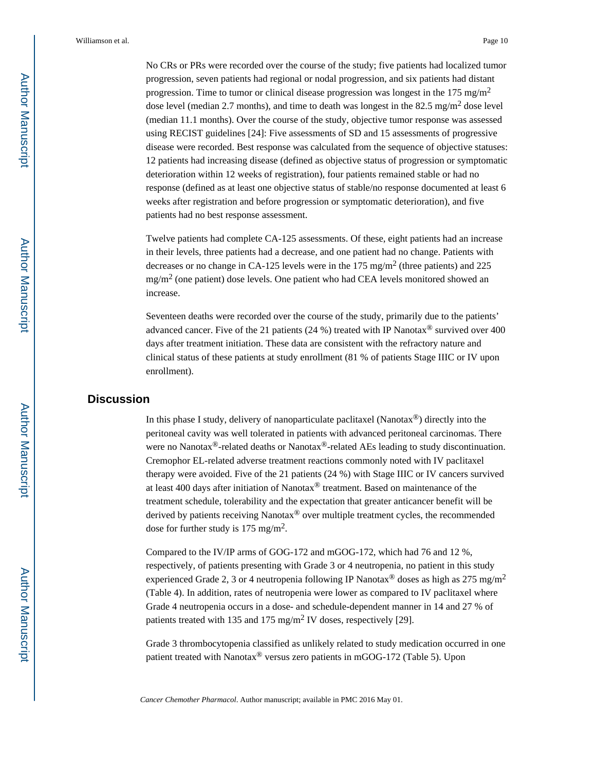No CRs or PRs were recorded over the course of the study; five patients had localized tumor progression, seven patients had regional or nodal progression, and six patients had distant progression. Time to tumor or clinical disease progression was longest in the  $175 \text{ mg/m}^2$ dose level (median 2.7 months), and time to death was longest in the 82.5 mg/m<sup>2</sup> dose level (median 11.1 months). Over the course of the study, objective tumor response was assessed using RECIST guidelines [24]: Five assessments of SD and 15 assessments of progressive disease were recorded. Best response was calculated from the sequence of objective statuses: 12 patients had increasing disease (defined as objective status of progression or symptomatic deterioration within 12 weeks of registration), four patients remained stable or had no response (defined as at least one objective status of stable/no response documented at least 6 weeks after registration and before progression or symptomatic deterioration), and five patients had no best response assessment.

Twelve patients had complete CA-125 assessments. Of these, eight patients had an increase in their levels, three patients had a decrease, and one patient had no change. Patients with decreases or no change in CA-125 levels were in the 175 mg/m<sup>2</sup> (three patients) and 225 mg/m<sup>2</sup> (one patient) dose levels. One patient who had CEA levels monitored showed an increase.

Seventeen deaths were recorded over the course of the study, primarily due to the patients' advanced cancer. Five of the 21 patients (24 %) treated with IP Nanotax<sup>®</sup> survived over 400 days after treatment initiation. These data are consistent with the refractory nature and clinical status of these patients at study enrollment (81 % of patients Stage IIIC or IV upon enrollment).

## **Discussion**

In this phase I study, delivery of nanoparticulate paclitaxel (Nanotax®) directly into the peritoneal cavity was well tolerated in patients with advanced peritoneal carcinomas. There were no Nanotax<sup>®</sup>-related deaths or Nanotax<sup>®</sup>-related AEs leading to study discontinuation. Cremophor EL-related adverse treatment reactions commonly noted with IV paclitaxel therapy were avoided. Five of the 21 patients (24 %) with Stage IIIC or IV cancers survived at least 400 days after initiation of Nanotax® treatment. Based on maintenance of the treatment schedule, tolerability and the expectation that greater anticancer benefit will be derived by patients receiving Nanotax® over multiple treatment cycles, the recommended dose for further study is 175 mg/m<sup>2</sup>.

Compared to the IV/IP arms of GOG-172 and mGOG-172, which had 76 and 12 %, respectively, of patients presenting with Grade 3 or 4 neutropenia, no patient in this study experienced Grade 2, 3 or 4 neutropenia following IP Nanotax<sup>®</sup> doses as high as 275 mg/m<sup>2</sup> (Table 4). In addition, rates of neutropenia were lower as compared to IV paclitaxel where Grade 4 neutropenia occurs in a dose- and schedule-dependent manner in 14 and 27 % of patients treated with 135 and 175 mg/m<sup>2</sup> IV doses, respectively [29].

Grade 3 thrombocytopenia classified as unlikely related to study medication occurred in one patient treated with Nanotax® versus zero patients in mGOG-172 (Table 5). Upon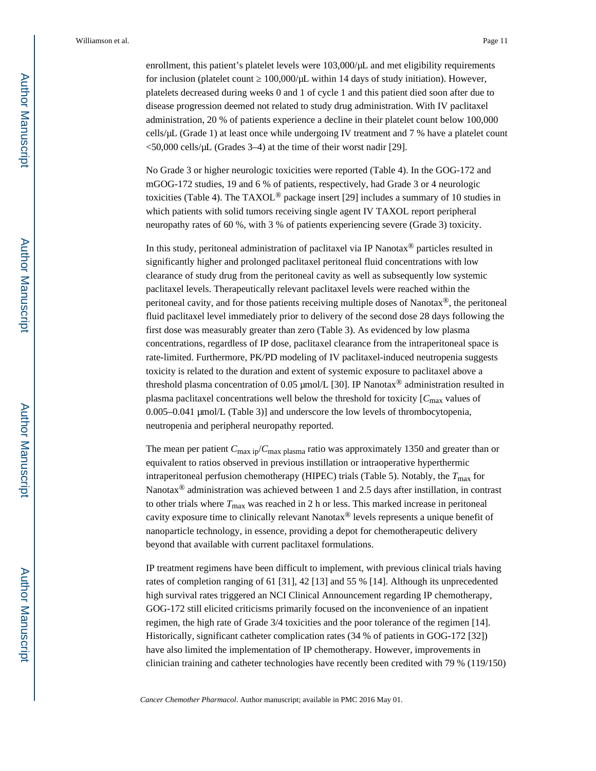enrollment, this patient's platelet levels were 103,000/μL and met eligibility requirements for inclusion (platelet count  $100,000/\mu L$  within 14 days of study initiation). However, platelets decreased during weeks 0 and 1 of cycle 1 and this patient died soon after due to disease progression deemed not related to study drug administration. With IV paclitaxel administration, 20 % of patients experience a decline in their platelet count below 100,000 cells/μL (Grade 1) at least once while undergoing IV treatment and 7 % have a platelet count  $<$  50,000 cells/ $\mu$ L (Grades 3–4) at the time of their worst nadir [29].

No Grade 3 or higher neurologic toxicities were reported (Table 4). In the GOG-172 and mGOG-172 studies, 19 and 6 % of patients, respectively, had Grade 3 or 4 neurologic toxicities (Table 4). The TAXOL® package insert [29] includes a summary of 10 studies in which patients with solid tumors receiving single agent IV TAXOL report peripheral neuropathy rates of 60 %, with 3 % of patients experiencing severe (Grade 3) toxicity.

In this study, peritoneal administration of paclitaxel via IP Nanotax® particles resulted in significantly higher and prolonged paclitaxel peritoneal fluid concentrations with low clearance of study drug from the peritoneal cavity as well as subsequently low systemic paclitaxel levels. Therapeutically relevant paclitaxel levels were reached within the peritoneal cavity, and for those patients receiving multiple doses of Nanotax<sup>®</sup>, the peritoneal fluid paclitaxel level immediately prior to delivery of the second dose 28 days following the first dose was measurably greater than zero (Table 3). As evidenced by low plasma concentrations, regardless of IP dose, paclitaxel clearance from the intraperitoneal space is rate-limited. Furthermore, PK/PD modeling of IV paclitaxel-induced neutropenia suggests toxicity is related to the duration and extent of systemic exposure to paclitaxel above a threshold plasma concentration of 0.05 μmol/L [30]. IP Nanotax<sup>®</sup> administration resulted in plasma paclitaxel concentrations well below the threshold for toxicity  $[C_{\text{max}}]$  values of 0.005–0.041 μmol/L (Table 3)] and underscore the low levels of thrombocytopenia, neutropenia and peripheral neuropathy reported.

The mean per patient  $C_{\text{max ip}}/C_{\text{max plasma}}$  ratio was approximately 1350 and greater than or equivalent to ratios observed in previous instillation or intraoperative hyperthermic intraperitoneal perfusion chemotherapy (HIPEC) trials (Table 5). Notably, the  $T_{\text{max}}$  for Nanotax<sup>®</sup> administration was achieved between 1 and 2.5 days after instillation, in contrast to other trials where  $T_{\text{max}}$  was reached in 2 h or less. This marked increase in peritoneal cavity exposure time to clinically relevant Nanotax® levels represents a unique benefit of nanoparticle technology, in essence, providing a depot for chemotherapeutic delivery beyond that available with current paclitaxel formulations.

IP treatment regimens have been difficult to implement, with previous clinical trials having rates of completion ranging of 61 [31], 42 [13] and 55 % [14]. Although its unprecedented high survival rates triggered an NCI Clinical Announcement regarding IP chemotherapy, GOG-172 still elicited criticisms primarily focused on the inconvenience of an inpatient regimen, the high rate of Grade 3/4 toxicities and the poor tolerance of the regimen [14]. Historically, significant catheter complication rates (34 % of patients in GOG-172 [32]) have also limited the implementation of IP chemotherapy. However, improvements in clinician training and catheter technologies have recently been credited with 79 % (119/150)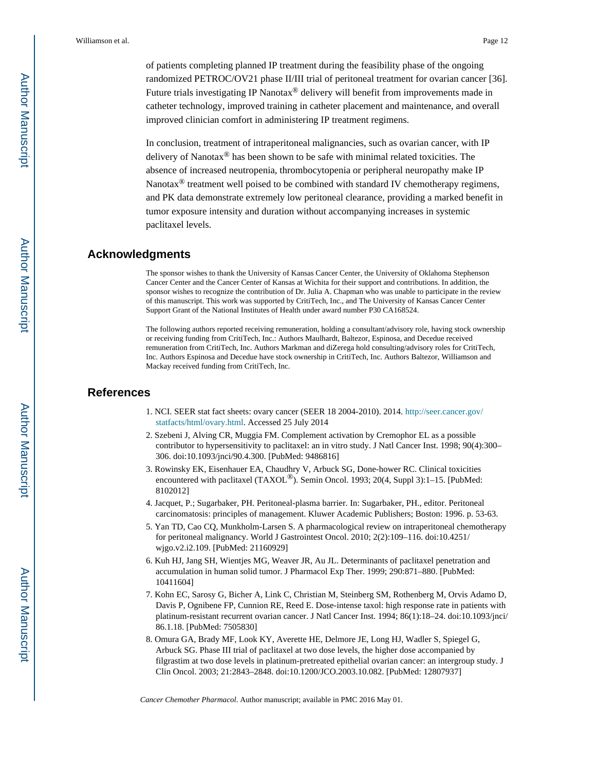of patients completing planned IP treatment during the feasibility phase of the ongoing randomized PETROC/OV21 phase II/III trial of peritoneal treatment for ovarian cancer [36]. Future trials investigating IP Nanotax® delivery will benefit from improvements made in catheter technology, improved training in catheter placement and maintenance, and overall improved clinician comfort in administering IP treatment regimens.

In conclusion, treatment of intraperitoneal malignancies, such as ovarian cancer, with IP delivery of Nanotax® has been shown to be safe with minimal related toxicities. The absence of increased neutropenia, thrombocytopenia or peripheral neuropathy make IP Nanotax $^{\circledR}$  treatment well poised to be combined with standard IV chemotherapy regimens, and PK data demonstrate extremely low peritoneal clearance, providing a marked benefit in tumor exposure intensity and duration without accompanying increases in systemic paclitaxel levels.

## **Acknowledgments**

The sponsor wishes to thank the University of Kansas Cancer Center, the University of Oklahoma Stephenson Cancer Center and the Cancer Center of Kansas at Wichita for their support and contributions. In addition, the sponsor wishes to recognize the contribution of Dr. Julia A. Chapman who was unable to participate in the review of this manuscript. This work was supported by CritiTech, Inc., and The University of Kansas Cancer Center Support Grant of the National Institutes of Health under award number P30 CA168524.

The following authors reported receiving remuneration, holding a consultant/advisory role, having stock ownership or receiving funding from CritiTech, Inc.: Authors Maulhardt, Baltezor, Espinosa, and Decedue received remuneration from CritiTech, Inc. Authors Markman and diZerega hold consulting/advisory roles for CritiTech, Inc. Authors Espinosa and Decedue have stock ownership in CritiTech, Inc. Authors Baltezor, Williamson and Mackay received funding from CritiTech, Inc.

## **References**

- 1. NCI. SEER stat fact sheets: ovary cancer (SEER 18 2004-2010). 2014. [http://seer.cancer.gov/](http://seer.cancer.gov/statfacts/html/ovary.html) [statfacts/html/ovary.html](http://seer.cancer.gov/statfacts/html/ovary.html). Accessed 25 July 2014
- 2. Szebeni J, Alving CR, Muggia FM. Complement activation by Cremophor EL as a possible contributor to hypersensitivity to paclitaxel: an in vitro study. J Natl Cancer Inst. 1998; 90(4):300– 306. doi:10.1093/jnci/90.4.300. [PubMed: 9486816]
- 3. Rowinsky EK, Eisenhauer EA, Chaudhry V, Arbuck SG, Done-hower RC. Clinical toxicities encountered with paclitaxel (TAXOL<sup>®</sup>). Semin Oncol. 1993; 20(4, Suppl 3):1-15. [PubMed: 8102012]
- 4. Jacquet, P.; Sugarbaker, PH. Peritoneal-plasma barrier. In: Sugarbaker, PH., editor. Peritoneal carcinomatosis: principles of management. Kluwer Academic Publishers; Boston: 1996. p. 53-63.
- 5. Yan TD, Cao CQ, Munkholm-Larsen S. A pharmacological review on intraperitoneal chemotherapy for peritoneal malignancy. World J Gastrointest Oncol. 2010; 2(2):109–116. doi:10.4251/ wjgo.v2.i2.109. [PubMed: 21160929]
- 6. Kuh HJ, Jang SH, Wientjes MG, Weaver JR, Au JL. Determinants of paclitaxel penetration and accumulation in human solid tumor. J Pharmacol Exp Ther. 1999; 290:871–880. [PubMed: 10411604]
- 7. Kohn EC, Sarosy G, Bicher A, Link C, Christian M, Steinberg SM, Rothenberg M, Orvis Adamo D, Davis P, Ognibene FP, Cunnion RE, Reed E. Dose-intense taxol: high response rate in patients with platinum-resistant recurrent ovarian cancer. J Natl Cancer Inst. 1994; 86(1):18–24. doi:10.1093/jnci/ 86.1.18. [PubMed: 7505830]
- 8. Omura GA, Brady MF, Look KY, Averette HE, Delmore JE, Long HJ, Wadler S, Spiegel G, Arbuck SG. Phase III trial of paclitaxel at two dose levels, the higher dose accompanied by filgrastim at two dose levels in platinum-pretreated epithelial ovarian cancer: an intergroup study. J Clin Oncol. 2003; 21:2843–2848. doi:10.1200/JCO.2003.10.082. [PubMed: 12807937]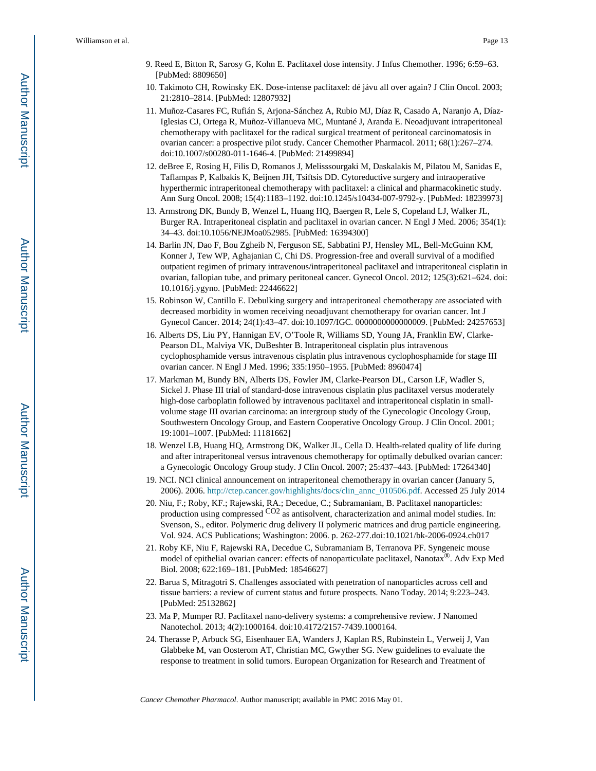- 9. Reed E, Bitton R, Sarosy G, Kohn E. Paclitaxel dose intensity. J Infus Chemother. 1996; 6:59–63. [PubMed: 8809650]
- 10. Takimoto CH, Rowinsky EK. Dose-intense paclitaxel: dé jávu all over again? J Clin Oncol. 2003; 21:2810–2814. [PubMed: 12807932]
- 11. Muñoz-Casares FC, Rufián S, Arjona-Sánchez A, Rubio MJ, Díaz R, Casado A, Naranjo A, Díaz-Iglesias CJ, Ortega R, Muñoz-Villanueva MC, Muntané J, Aranda E. Neoadjuvant intraperitoneal chemotherapy with paclitaxel for the radical surgical treatment of peritoneal carcinomatosis in ovarian cancer: a prospective pilot study. Cancer Chemother Pharmacol. 2011; 68(1):267–274. doi:10.1007/s00280-011-1646-4. [PubMed: 21499894]
- 12. deBree E, Rosing H, Filis D, Romanos J, Melisssourgaki M, Daskalakis M, Pilatou M, Sanidas E, Taflampas P, Kalbakis K, Beijnen JH, Tsiftsis DD. Cytoreductive surgery and intraoperative hyperthermic intraperitoneal chemotherapy with paclitaxel: a clinical and pharmacokinetic study. Ann Surg Oncol. 2008; 15(4):1183–1192. doi:10.1245/s10434-007-9792-y. [PubMed: 18239973]
- 13. Armstrong DK, Bundy B, Wenzel L, Huang HQ, Baergen R, Lele S, Copeland LJ, Walker JL, Burger RA. Intraperitoneal cisplatin and paclitaxel in ovarian cancer. N Engl J Med. 2006; 354(1): 34–43. doi:10.1056/NEJMoa052985. [PubMed: 16394300]
- 14. Barlin JN, Dao F, Bou Zgheib N, Ferguson SE, Sabbatini PJ, Hensley ML, Bell-McGuinn KM, Konner J, Tew WP, Aghajanian C, Chi DS. Progression-free and overall survival of a modified outpatient regimen of primary intravenous/intraperitoneal paclitaxel and intraperitoneal cisplatin in ovarian, fallopian tube, and primary peritoneal cancer. Gynecol Oncol. 2012; 125(3):621–624. doi: 10.1016/j.ygyno. [PubMed: 22446622]
- 15. Robinson W, Cantillo E. Debulking surgery and intraperitoneal chemotherapy are associated with decreased morbidity in women receiving neoadjuvant chemotherapy for ovarian cancer. Int J Gynecol Cancer. 2014; 24(1):43–47. doi:10.1097/IGC. 0000000000000009. [PubMed: 24257653]
- 16. Alberts DS, Liu PY, Hannigan EV, O'Toole R, Williams SD, Young JA, Franklin EW, Clarke-Pearson DL, Malviya VK, DuBeshter B. Intraperitoneal cisplatin plus intravenous cyclophosphamide versus intravenous cisplatin plus intravenous cyclophosphamide for stage III ovarian cancer. N Engl J Med. 1996; 335:1950–1955. [PubMed: 8960474]
- 17. Markman M, Bundy BN, Alberts DS, Fowler JM, Clarke-Pearson DL, Carson LF, Wadler S, Sickel J. Phase III trial of standard-dose intravenous cisplatin plus paclitaxel versus moderately high-dose carboplatin followed by intravenous paclitaxel and intraperitoneal cisplatin in smallvolume stage III ovarian carcinoma: an intergroup study of the Gynecologic Oncology Group, Southwestern Oncology Group, and Eastern Cooperative Oncology Group. J Clin Oncol. 2001; 19:1001–1007. [PubMed: 11181662]
- 18. Wenzel LB, Huang HQ, Armstrong DK, Walker JL, Cella D. Health-related quality of life during and after intraperitoneal versus intravenous chemotherapy for optimally debulked ovarian cancer: a Gynecologic Oncology Group study. J Clin Oncol. 2007; 25:437–443. [PubMed: 17264340]
- 19. NCI. NCI clinical announcement on intraperitoneal chemotherapy in ovarian cancer (January 5, 2006). 2006. [http://ctep.cancer.gov/highlights/docs/clin\\_annc\\_010506.pdf.](http://ctep.cancer.gov/highlights/docs/clin_annc_010506.pdf) Accessed 25 July 2014
- 20. Niu, F.; Roby, KF.; Rajewski, RA.; Decedue, C.; Subramaniam, B. Paclitaxel nanoparticles: production using compressed CO2 as antisolvent, characterization and animal model studies. In: Svenson, S., editor. Polymeric drug delivery II polymeric matrices and drug particle engineering. Vol. 924. ACS Publications; Washington: 2006. p. 262-277.doi:10.1021/bk-2006-0924.ch017
- 21. Roby KF, Niu F, Rajewski RA, Decedue C, Subramaniam B, Terranova PF. Syngeneic mouse model of epithelial ovarian cancer: effects of nanoparticulate paclitaxel, Nanotax®. Adv Exp Med Biol. 2008; 622:169–181. [PubMed: 18546627]
- 22. Barua S, Mitragotri S. Challenges associated with penetration of nanoparticles across cell and tissue barriers: a review of current status and future prospects. Nano Today. 2014; 9:223–243. [PubMed: 25132862]
- 23. Ma P, Mumper RJ. Paclitaxel nano-delivery systems: a comprehensive review. J Nanomed Nanotechol. 2013; 4(2):1000164. doi:10.4172/2157-7439.1000164.
- 24. Therasse P, Arbuck SG, Eisenhauer EA, Wanders J, Kaplan RS, Rubinstein L, Verweij J, Van Glabbeke M, van Oosterom AT, Christian MC, Gwyther SG. New guidelines to evaluate the response to treatment in solid tumors. European Organization for Research and Treatment of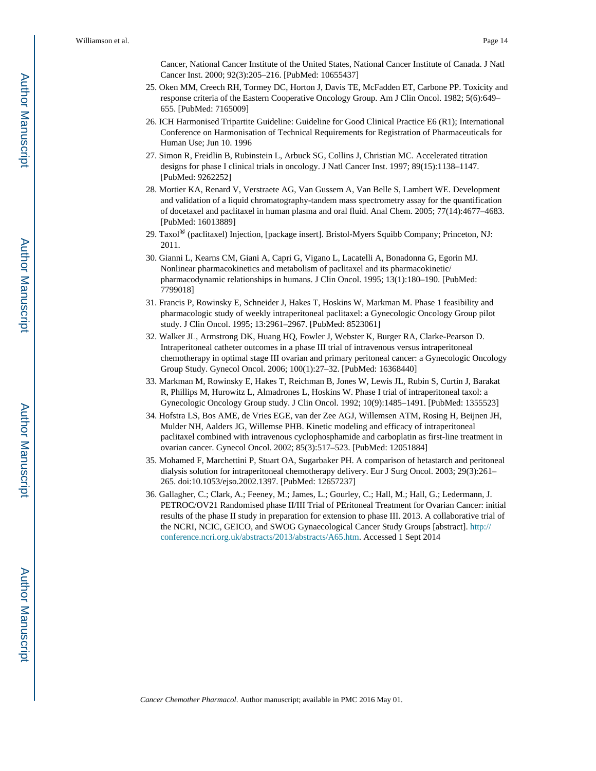Cancer, National Cancer Institute of the United States, National Cancer Institute of Canada. J Natl Cancer Inst. 2000; 92(3):205–216. [PubMed: 10655437]

- 25. Oken MM, Creech RH, Tormey DC, Horton J, Davis TE, McFadden ET, Carbone PP. Toxicity and response criteria of the Eastern Cooperative Oncology Group. Am J Clin Oncol. 1982; 5(6):649– 655. [PubMed: 7165009]
- 26. ICH Harmonised Tripartite Guideline: Guideline for Good Clinical Practice E6 (R1); International Conference on Harmonisation of Technical Requirements for Registration of Pharmaceuticals for Human Use; Jun 10. 1996
- 27. Simon R, Freidlin B, Rubinstein L, Arbuck SG, Collins J, Christian MC. Accelerated titration designs for phase I clinical trials in oncology. J Natl Cancer Inst. 1997; 89(15):1138–1147. [PubMed: 9262252]
- 28. Mortier KA, Renard V, Verstraete AG, Van Gussem A, Van Belle S, Lambert WE. Development and validation of a liquid chromatography-tandem mass spectrometry assay for the quantification of docetaxel and paclitaxel in human plasma and oral fluid. Anal Chem. 2005; 77(14):4677–4683. [PubMed: 16013889]
- 29. Taxol® (paclitaxel) Injection, [package insert]. Bristol-Myers Squibb Company; Princeton, NJ: 2011.
- 30. Gianni L, Kearns CM, Giani A, Capri G, Vigano L, Lacatelli A, Bonadonna G, Egorin MJ. Nonlinear pharmacokinetics and metabolism of paclitaxel and its pharmacokinetic/ pharmacodynamic relationships in humans. J Clin Oncol. 1995; 13(1):180–190. [PubMed: 7799018]
- 31. Francis P, Rowinsky E, Schneider J, Hakes T, Hoskins W, Markman M. Phase 1 feasibility and pharmacologic study of weekly intraperitoneal paclitaxel: a Gynecologic Oncology Group pilot study. J Clin Oncol. 1995; 13:2961–2967. [PubMed: 8523061]
- 32. Walker JL, Armstrong DK, Huang HQ, Fowler J, Webster K, Burger RA, Clarke-Pearson D. Intraperitoneal catheter outcomes in a phase III trial of intravenous versus intraperitoneal chemotherapy in optimal stage III ovarian and primary peritoneal cancer: a Gynecologic Oncology Group Study. Gynecol Oncol. 2006; 100(1):27–32. [PubMed: 16368440]
- 33. Markman M, Rowinsky E, Hakes T, Reichman B, Jones W, Lewis JL, Rubin S, Curtin J, Barakat R, Phillips M, Hurowitz L, Almadrones L, Hoskins W. Phase I trial of intraperitoneal taxol: a Gynecologic Oncology Group study. J Clin Oncol. 1992; 10(9):1485–1491. [PubMed: 1355523]
- 34. Hofstra LS, Bos AME, de Vries EGE, van der Zee AGJ, Willemsen ATM, Rosing H, Beijnen JH, Mulder NH, Aalders JG, Willemse PHB. Kinetic modeling and efficacy of intraperitoneal paclitaxel combined with intravenous cyclophosphamide and carboplatin as first-line treatment in ovarian cancer. Gynecol Oncol. 2002; 85(3):517–523. [PubMed: 12051884]
- 35. Mohamed F, Marchettini P, Stuart OA, Sugarbaker PH. A comparison of hetastarch and peritoneal dialysis solution for intraperitoneal chemotherapy delivery. Eur J Surg Oncol. 2003; 29(3):261– 265. doi:10.1053/ejso.2002.1397. [PubMed: 12657237]
- 36. Gallagher, C.; Clark, A.; Feeney, M.; James, L.; Gourley, C.; Hall, M.; Hall, G.; Ledermann, J. PETROC/OV21 Randomised phase II/III Trial of PEritoneal Treatment for Ovarian Cancer: initial results of the phase II study in preparation for extension to phase III. 2013. A collaborative trial of the NCRI, NCIC, GEICO, and SWOG Gynaecological Cancer Study Groups [abstract]. [http://](http://conference.ncri.org.uk/abstracts/2013/abstracts/A65.htm) [conference.ncri.org.uk/abstracts/2013/abstracts/A65.htm.](http://conference.ncri.org.uk/abstracts/2013/abstracts/A65.htm) Accessed 1 Sept 2014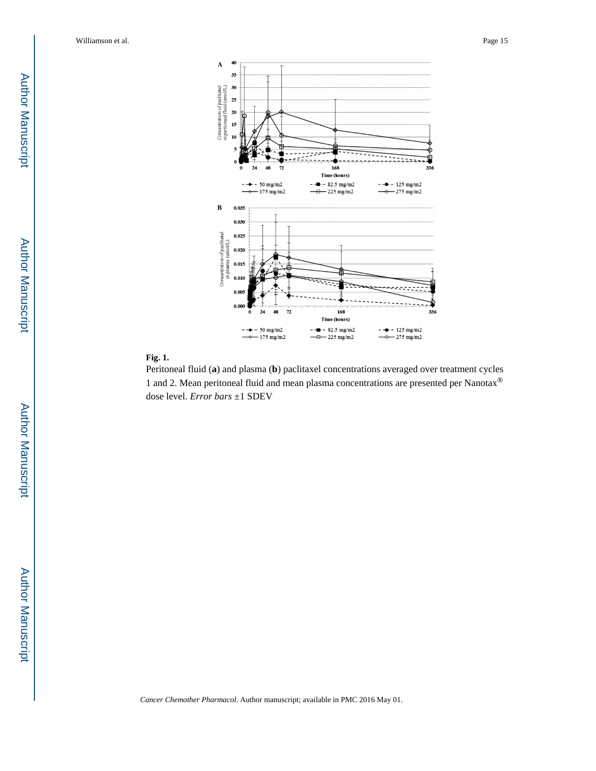

#### **Fig. 1.**

Peritoneal fluid (**a**) and plasma (**b**) paclitaxel concentrations averaged over treatment cycles 1 and 2. Mean peritoneal fluid and mean plasma concentrations are presented per Nanotax® dose level. *Error bars* ±1 SDEV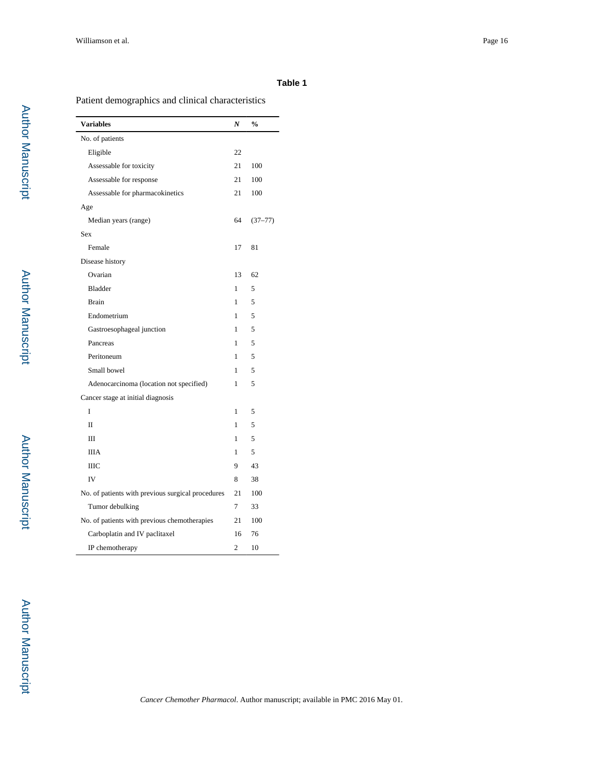## **Table 1**

## Patient demographics and clinical characteristics

| <b>Variables</b>                                  | N              | $\frac{0}{0}$ |
|---------------------------------------------------|----------------|---------------|
| No. of patients                                   |                |               |
| Eligible                                          | 22             |               |
| Assessable for toxicity                           | 21             | 100           |
| Assessable for response                           | 21             | 100           |
| Assessable for pharmacokinetics                   | 21             | 100           |
| Age                                               |                |               |
| Median years (range)                              | 64             | $(37 - 77)$   |
| Sex                                               |                |               |
| Female                                            | 17             | 81            |
| Disease history                                   |                |               |
| Ovarian                                           | 13             | 62            |
| <b>Bladder</b>                                    | 1              | 5             |
| <b>Brain</b>                                      | 1              | 5             |
| Endometrium                                       | 1              | 5             |
| Gastroesophageal junction                         | 1              | 5             |
| Pancreas                                          | 1              | 5             |
| Peritoneum                                        | 1              | 5             |
| Small bowel                                       | 1              | 5             |
| Adenocarcinoma (location not specified)           | 1              | 5             |
| Cancer stage at initial diagnosis                 |                |               |
| Ī                                                 | 1              | 5             |
| $\mathbf{I}$                                      | 1              | 5             |
| Ш                                                 | 1              | 5             |
| <b>IIIA</b>                                       | 1              | 5             |
| <b>IIIC</b>                                       | 9              | 43            |
| IV                                                | 8              | 38            |
| No. of patients with previous surgical procedures | 21             | 100           |
| Tumor debulking                                   | 7              | 33            |
| No. of patients with previous chemotherapies      | 21             | 100           |
| Carboplatin and IV paclitaxel                     | 16             | 76            |
| IP chemotherapy                                   | $\overline{2}$ | 10            |

**Author Manuscript** Author Manuscript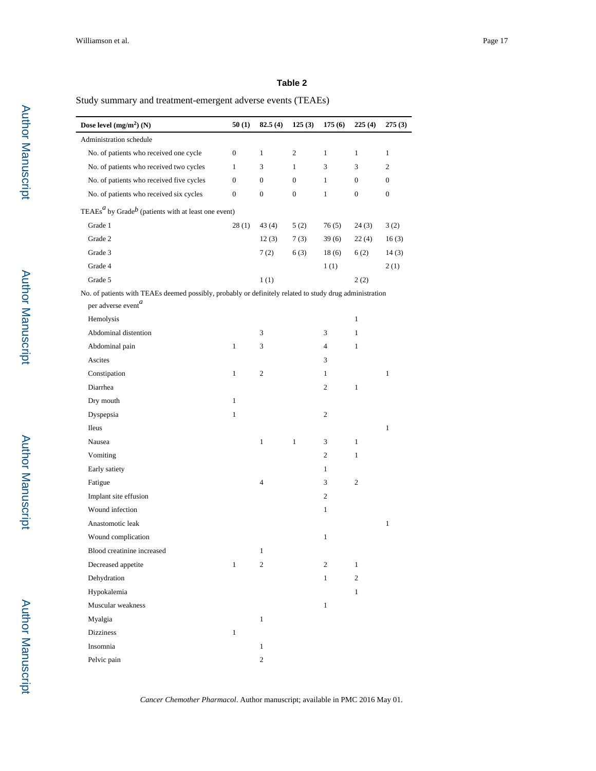## **Table 2**

## Study summary and treatment-emergent adverse events (TEAEs)

| Dose level $(mg/m^2)$ (N)                                                                               | 50(1)            | 82.5(4)          | 125(3)           | 175(6)         | 225(4)           | 275(3)           |
|---------------------------------------------------------------------------------------------------------|------------------|------------------|------------------|----------------|------------------|------------------|
| Administration schedule                                                                                 |                  |                  |                  |                |                  |                  |
| No. of patients who received one cycle                                                                  | $\boldsymbol{0}$ | $\mathbf{1}$     | $\overline{c}$   | 1              | 1                | $\mathbf{1}$     |
| No. of patients who received two cycles                                                                 | $\mathbf{1}$     | 3                | $\mathbf{1}$     | 3              | 3                | $\overline{c}$   |
| No. of patients who received five cycles                                                                | $\mathbf{0}$     | $\boldsymbol{0}$ | $\boldsymbol{0}$ | $\mathbf{1}$   | $\boldsymbol{0}$ | $\mathbf{0}$     |
| No. of patients who received six cycles                                                                 | $\boldsymbol{0}$ | $\boldsymbol{0}$ | $\boldsymbol{0}$ | $\mathbf{1}$   | $\boldsymbol{0}$ | $\boldsymbol{0}$ |
| TEAEs $^a$ by Grade $^b$ (patients with at least one event)                                             |                  |                  |                  |                |                  |                  |
| Grade 1                                                                                                 | 28(1)            | 43 (4)           | 5(2)             | 76(5)          | 24(3)            | 3(2)             |
| Grade 2                                                                                                 |                  | 12(3)            | 7(3)             | 39(6)          | 22(4)            | 16(3)            |
| Grade 3                                                                                                 |                  | 7(2)             | 6(3)             | 18(6)          | 6(2)             | 14(3)            |
| Grade 4                                                                                                 |                  |                  |                  | 1(1)           |                  | 2(1)             |
| Grade 5                                                                                                 |                  | 1(1)             |                  |                | 2(2)             |                  |
| No. of patients with TEAEs deemed possibly, probably or definitely related to study drug administration |                  |                  |                  |                |                  |                  |
| per adverse event <sup>a</sup>                                                                          |                  |                  |                  |                |                  |                  |
| Hemolysis                                                                                               |                  |                  |                  |                | $\mathbf{1}$     |                  |
| Abdominal distention                                                                                    |                  | 3                |                  | 3              | $\mathbf{1}$     |                  |
| Abdominal pain                                                                                          | $\mathbf{1}$     | 3                |                  | 4              | $\mathbf{1}$     |                  |
| Ascites                                                                                                 |                  |                  |                  | 3              |                  |                  |
| Constipation                                                                                            | $\mathbf{1}$     | $\boldsymbol{2}$ |                  | 1              |                  | 1                |
| Diarrhea                                                                                                |                  |                  |                  | $\overline{c}$ | $\mathbf{1}$     |                  |
| Dry mouth                                                                                               | $\mathbf{1}$     |                  |                  |                |                  |                  |
| Dyspepsia                                                                                               | $\mathbf{1}$     |                  |                  | 2              |                  |                  |
| Ileus                                                                                                   |                  |                  |                  |                |                  | $\mathbf{1}$     |
| Nausea                                                                                                  |                  | $\mathbf{1}$     | $\mathbf{1}$     | 3              | $\mathbf{1}$     |                  |
| Vomiting                                                                                                |                  |                  |                  | 2              | 1                |                  |
| Early satiety                                                                                           |                  |                  |                  | $\mathbf{1}$   |                  |                  |
| Fatigue                                                                                                 |                  | 4                |                  | 3              | $\overline{c}$   |                  |
| Implant site effusion                                                                                   |                  |                  |                  | 2              |                  |                  |
| Wound infection                                                                                         |                  |                  |                  | $\mathbf{1}$   |                  |                  |
| Anastomotic leak                                                                                        |                  |                  |                  |                |                  | $\mathbf{1}$     |
| Wound complication                                                                                      |                  |                  |                  | $\mathbf{1}$   |                  |                  |
| Blood creatinine increased                                                                              |                  | $\mathbf{1}$     |                  |                |                  |                  |
| Decreased appetite                                                                                      | $\mathbf{1}$     | 2                |                  | 2              | $\mathbf{1}$     |                  |
| Dehydration                                                                                             |                  |                  |                  | $\mathbf{1}$   | 2                |                  |
| Hypokalemia                                                                                             |                  |                  |                  |                | $\mathbf{1}$     |                  |
| Muscular weakness                                                                                       |                  |                  |                  | $\mathbf{1}$   |                  |                  |
| Myalgia                                                                                                 |                  | $\mathbf{1}$     |                  |                |                  |                  |
| <b>Dizziness</b>                                                                                        | $\mathbf{1}$     |                  |                  |                |                  |                  |
| Insomnia                                                                                                |                  | $\mathbf{1}$     |                  |                |                  |                  |
| Pelvic pain                                                                                             |                  | 2                |                  |                |                  |                  |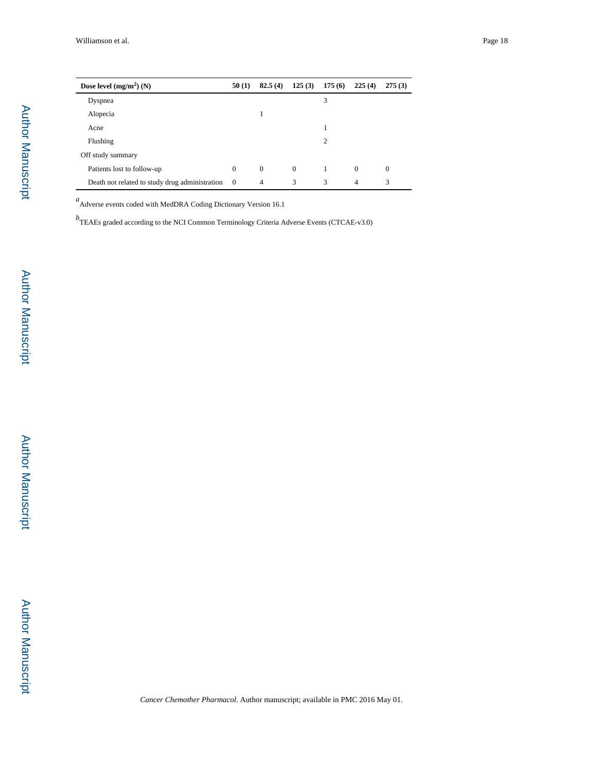| Dose level $(mg/m^2)$ (N)                      | 50(1)          | 82.5(4)        | 125(3)   | 175(6) | 225(4)         | 275(3)       |
|------------------------------------------------|----------------|----------------|----------|--------|----------------|--------------|
| Dyspnea                                        |                |                |          | 3      |                |              |
| Alopecia                                       |                |                |          |        |                |              |
| Acne                                           |                |                |          |        |                |              |
| Flushing                                       |                |                |          | 2      |                |              |
| Off study summary                              |                |                |          |        |                |              |
| Patients lost to follow-up                     | $\mathbf{0}$   | $\mathbf{0}$   | $\theta$ | 1      | $\Omega$       | $\mathbf{0}$ |
| Death not related to study drug administration | $\overline{0}$ | $\overline{4}$ | 3        | 3      | $\overline{4}$ | 3            |

*a*<br>
Adverse events coded with MedDRA Coding Dictionary Version 16.1

*b* TEAEs graded according to the NCI Common Terminology Criteria Adverse Events (CTCAE-v3.0)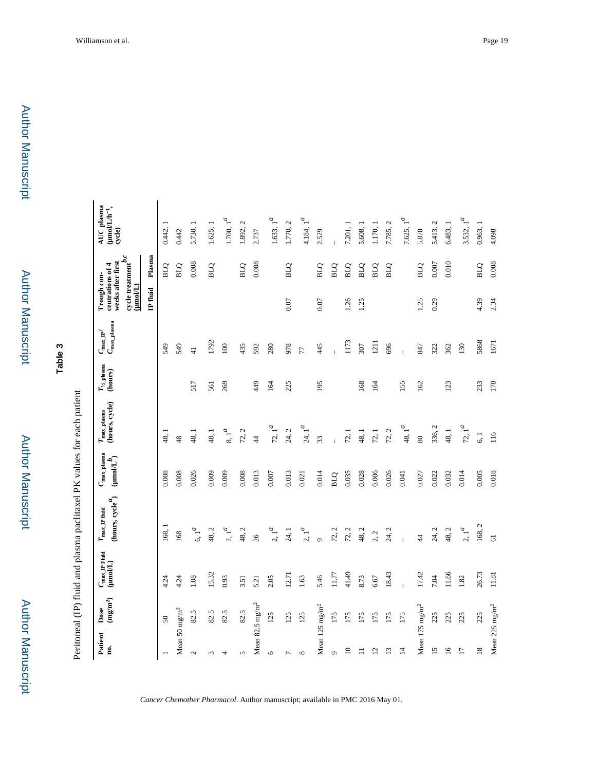**Table 3**

Peritoneal (IP) fluid and plasma paclitaxel PK values for each patient Peritoneal (IP) fluid and plasma paclitaxel PK values for each patient

| Patient                     | Dose             | $C_{\rm max\_IP\,Find}$ |                                                                            |                                                        |                                         |                                                  | $C_{\rm max\_IP}$        | Trough con-                                                                                    |            | <b>AUC</b> plasma                                                              |
|-----------------------------|------------------|-------------------------|----------------------------------------------------------------------------|--------------------------------------------------------|-----------------------------------------|--------------------------------------------------|--------------------------|------------------------------------------------------------------------------------------------|------------|--------------------------------------------------------------------------------|
| g.                          | $({\bf mg/m^2})$ | $($ Moan                | (hours, $\mathrm{cycle}^{\textbf{\textit{d}}})$<br>$T_{\rm max\_IP}$ fluid | $C_{\rm max\_plasma}$<br>$\text{(\textit{uno}UL}^{b})$ | (hours, cycle)<br>$T_{\rm max\_plasma}$ | $T_{\gamma_{\!\varDelta\!-\!}$ plasma<br>(hours) | $C_{\text{max\_plasma}}$ | cycle treatment $^{b,c}$<br>weeks after first<br>centrations of<br>$(\underline{\text{mod}}L)$ | 4          | $\begin{array}{l} (\text{mod} L / \text{h}^{-1}, \\ \text{cycle}) \end{array}$ |
|                             |                  |                         |                                                                            |                                                        |                                         |                                                  |                          | IP fluid                                                                                       | Plasma     |                                                                                |
|                             | $50\,$           | 4.24                    | 168,                                                                       | 0.008                                                  | 48,1                                    |                                                  | 549                      |                                                                                                | <b>DTB</b> | 0.442,                                                                         |
| Mean 50 mg/m <sup>2</sup>   |                  | 4.24                    | 168                                                                        | 0.008                                                  | $\frac{8}{4}$                           |                                                  | 549                      |                                                                                                | <b>BLQ</b> | 0.442                                                                          |
| $\sim$                      | 82.5             | 1.08                    | $6, 1^a$                                                                   | 0.026                                                  | 48, 1                                   | 517                                              | $\frac{4}{5}$            |                                                                                                | 0.008      | 5.730, 1                                                                       |
|                             | 82.5             | 15.32                   | 48, 2                                                                      | 0.009                                                  | 48, 1                                   | 561                                              | 1792                     |                                                                                                | <b>BLQ</b> | 1.625, 1                                                                       |
| 4                           | 82.5             | 0.93                    | $2.1^a$                                                                    | 0.009                                                  | $8,1^{\mathcal{a}}$                     | 269                                              | 100                      |                                                                                                |            | $1.700,\,1^{\textstyle a}$                                                     |
| n                           | 82.5             | 3.51                    | 48, 2                                                                      | 0.008                                                  | 72, 2                                   |                                                  | 435                      |                                                                                                | <b>BLQ</b> | 1.892, 2                                                                       |
| Mean 82.5 mg/m <sup>2</sup> |                  | 5.21                    | 26                                                                         | 0.013                                                  | $\sharp$                                | 449                                              | 592                      |                                                                                                | 0.008      | 2.737                                                                          |
| ٩                           | 125              | 2.05                    | 2, 1 <sup>d</sup>                                                          | 0.007                                                  | $72, 1^a$                               | 164                                              | 280                      |                                                                                                |            | 1.633, 1 <sup>a</sup>                                                          |
|                             | 125              | 12.71                   | 24, 1                                                                      | 0.013                                                  | 24, 2                                   | 225                                              | 978                      | 0.07                                                                                           | <b>BLQ</b> | 1.770, 2                                                                       |
| $\infty$                    | 125              | 1.63                    | $2, 1^a$                                                                   | 0.021                                                  | $24, 1^a$                               |                                                  | 77                       |                                                                                                |            | 4.184, 1 <sup>d</sup>                                                          |
| Mean $125 \text{ mg/m}^2$   |                  | 5.46                    | $\circ$                                                                    | 0.014                                                  | 33                                      | 195                                              | 445                      | 0.07                                                                                           | <b>BLQ</b> | 2.529                                                                          |
| $\sigma$                    | 175              | 11.77                   | 72, 2                                                                      | <b>BLQ</b>                                             |                                         |                                                  |                          |                                                                                                | <b>BLQ</b> |                                                                                |
| $\subseteq$                 | 175              | 41.49                   | 72, 2                                                                      | 0.035                                                  | 72, 1                                   |                                                  | 1173                     | 1.26                                                                                           | <b>BLQ</b> | 7.201, 1                                                                       |
|                             | 175              | 8.73                    | 48, 2                                                                      | 0.028                                                  | 48, 1                                   | 168                                              | 307                      | 1.25                                                                                           | <b>BLQ</b> | 5.608,                                                                         |
| L,                          | 175              | 6.67                    | 2, 2                                                                       | 0.006                                                  | 72,1                                    | 164                                              | 1211                     |                                                                                                | <b>BLQ</b> | 1.170, 1                                                                       |
| $\overline{c}$              | 175              | 18.43                   | 24, 2                                                                      | 0.026                                                  | 72, 2                                   |                                                  | 696                      |                                                                                                | BLQ        | 7.785, 2                                                                       |
| $\overline{4}$              | 175              |                         |                                                                            | 0.041                                                  | 48, $1^a$                               | 155                                              | $\overline{1}$           |                                                                                                |            | 7.625, 1 <sup>a</sup>                                                          |
| Mean $175 \text{ mg/m}^2$   |                  | 17.42                   | $\ddot{4}$                                                                 | 0.027                                                  | $80\,$                                  | 162                                              | 847                      | 1.25                                                                                           | <b>BLQ</b> | 5.878                                                                          |
| 5                           | 225              | 7.04                    | 24, 2                                                                      | 0.022                                                  | 336, 2                                  |                                                  | 322                      | 0.29                                                                                           | 0.007      | 5.413, 2                                                                       |
| $\overline{9}$              | 225              | 11.66                   | 48, 2                                                                      | 0.032                                                  | 48, 1                                   | 123                                              | 362                      |                                                                                                | 0.010      | 6.483, 1                                                                       |
| $\overline{17}$             | 225              | 1.82                    | $2.1^a$                                                                    | 0.014                                                  | $72, 1^a$                               |                                                  | 130                      |                                                                                                |            | 3.532, 1 <sup>a</sup>                                                          |
| $\overline{18}$             | 225              | 26.73                   | 168,2                                                                      | 0.005                                                  | 6, 1                                    | 233                                              | 5868                     | 4.39                                                                                           | <b>DTB</b> | 0.963, 1                                                                       |
| Mean 225 mg/m <sup>2</sup>  |                  | 11.81                   | $\overline{6}$                                                             | 0.018                                                  | 116                                     | 178                                              | 1671                     | 2.34                                                                                           | 0.008      | 4.098                                                                          |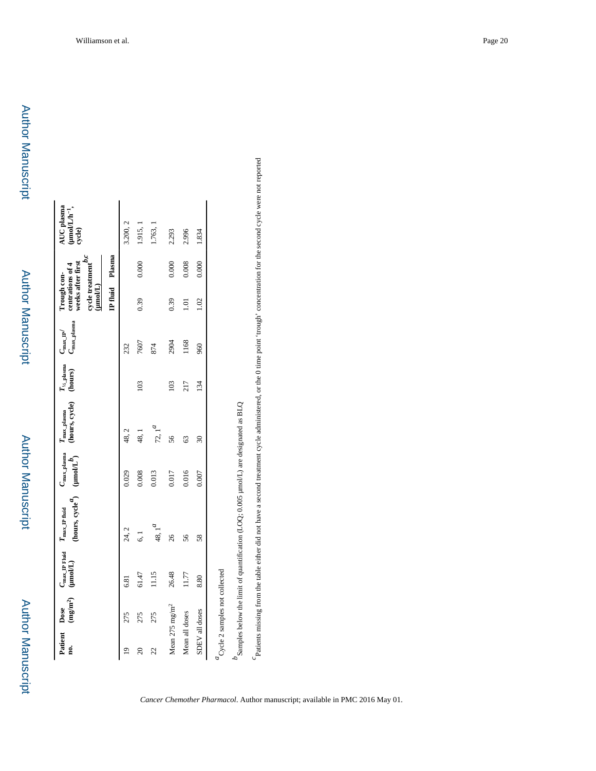| Patient Dose<br>g.        |                                                             | $C_{\text{max}}$ IP Fluid $T_{\text{max}}$ IP fluid<br>$(mg/m2)$ ( $\mu m o/L$ ) | (hours, $cycle^{d}$ ) $($ |       |                          | $T_{\frac{1}{2}$ plasma $C_{\rm max\_IP}$<br>(hours) | $C_{\rm max\_plasma}$ | cycle treatment $\boldsymbol{p}, \boldsymbol{c}$<br>weeks after first<br>centrations of 4<br>Trough con-<br>$(\underline{\mathbf{mod}}L)$ |       | AUC plasma<br>$\begin{array}{c} \text{(modL/h^{-1},}\\ \text{cycle)} \end{array}$ |
|---------------------------|-------------------------------------------------------------|----------------------------------------------------------------------------------|---------------------------|-------|--------------------------|------------------------------------------------------|-----------------------|-------------------------------------------------------------------------------------------------------------------------------------------|-------|-----------------------------------------------------------------------------------|
|                           |                                                             |                                                                                  |                           |       |                          |                                                      |                       | IP fluid Plasma                                                                                                                           |       |                                                                                   |
| $\overline{a}$            | 275                                                         | 6.81                                                                             | 24, 2                     | 0.029 | 48, 2                    |                                                      | 232                   |                                                                                                                                           |       | 3.200, 2                                                                          |
| $\overline{20}$           | 275                                                         | 61.47                                                                            | $\overline{6}$ .          | 0.008 | 48,1                     | 103                                                  | 7607                  | 0.39                                                                                                                                      | 0.000 | 1.915, 1                                                                          |
| 22                        | 275                                                         | 11.15                                                                            | 48, $1^{\mu}$             | 0.013 | $72, 1^{\mathcal{A}}$    |                                                      | 874                   |                                                                                                                                           |       | 1.763, 1                                                                          |
| Mean $275 \text{ mg/m}^2$ |                                                             | 26.48                                                                            | 26                        | 0.017 | 56                       | 103                                                  | 2904                  | 0.39                                                                                                                                      | 0.000 | 2.293                                                                             |
| Mean all doses            |                                                             | 11.77                                                                            | 56                        | 0.016 | 63                       | 217                                                  | 1168                  | $\overline{1}$ .01                                                                                                                        | 0.008 | 2.996                                                                             |
| SDEV all doses            |                                                             | 8.80                                                                             | 58                        | 0.007 | $\overline{\mathrm{30}}$ | 134                                                  | 960                   | 1.02                                                                                                                                      | 0.000 | 1.834                                                                             |
|                           | $\ensuremath{^{\mathcal{U}}}$ Cycle 2 samples not collected |                                                                                  |                           |       |                          |                                                      |                       |                                                                                                                                           |       |                                                                                   |

 $^b$ Samples below the limit of quantification (LOQ; 0.005 µmol/L) are designated as BLQ  $b$ Samples below the limit of quantification (LOQ; 0.005  $\mu$ mol/L) are designated as BLQ Patients missing from the table either did not have a second treatment cycle administered, or the 0 time point 'trough' concentration for the second cycle were not reported *c*Patients missing from the table either did not have a second treatment cycle administered, or the 0 time point 'trough' concentration for the second cycle were not reported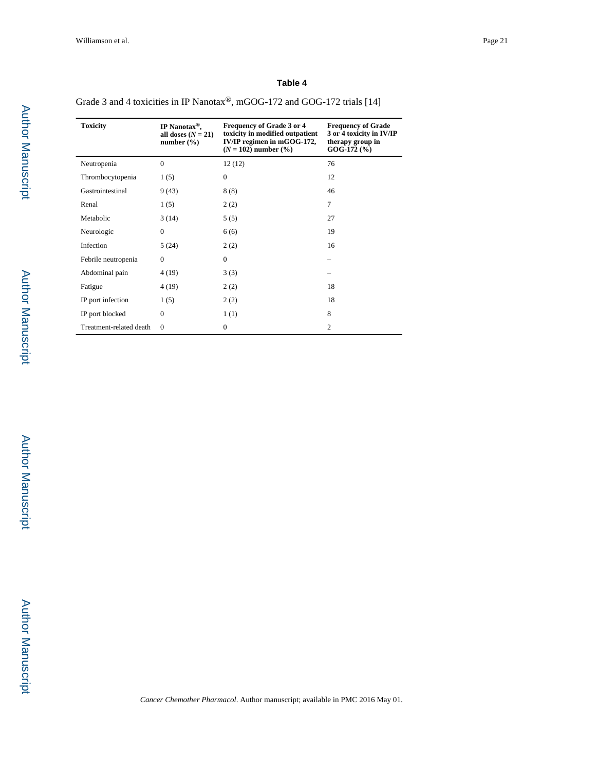#### **Table 4**

Grade 3 and 4 toxicities in IP Nanotax®, mGOG-172 and GOG-172 trials [14]

| <b>Toxicity</b>         | IP Nanotax <sup>®</sup> ,<br>all doses $(N = 21)$<br>number $(\% )$ | <b>Frequency of Grade 3 or 4</b><br>toxicity in modified outpatient<br>IV/IP regimen in mGOG-172,<br>$(N = 102)$ number $(\frac{9}{6})$ | <b>Frequency of Grade</b><br>3 or 4 toxicity in IV/IP<br>therapy group in<br>$GOG-172$ $%$ |
|-------------------------|---------------------------------------------------------------------|-----------------------------------------------------------------------------------------------------------------------------------------|--------------------------------------------------------------------------------------------|
| Neutropenia             | $\theta$                                                            | 12(12)                                                                                                                                  | 76                                                                                         |
| Thrombocytopenia        | 1(5)                                                                | $\mathbf{0}$                                                                                                                            | 12                                                                                         |
| Gastrointestinal        | 9(43)                                                               | 8(8)                                                                                                                                    | 46                                                                                         |
| Renal                   | 1(5)                                                                | 2(2)                                                                                                                                    | 7                                                                                          |
| Metabolic               | 3(14)                                                               | 5(5)                                                                                                                                    | 27                                                                                         |
| Neurologic              | $\mathbf{0}$                                                        | 6(6)                                                                                                                                    | 19                                                                                         |
| Infection               | 5(24)                                                               | 2(2)                                                                                                                                    | 16                                                                                         |
| Febrile neutropenia     | $\Omega$                                                            | $\mathbf{0}$                                                                                                                            |                                                                                            |
| Abdominal pain          | 4(19)                                                               | 3(3)                                                                                                                                    |                                                                                            |
| Fatigue                 | 4 (19)                                                              | 2(2)                                                                                                                                    | 18                                                                                         |
| IP port infection       | 1(5)                                                                | 2(2)                                                                                                                                    | 18                                                                                         |
| IP port blocked         | $\mathbf{0}$                                                        | 1(1)                                                                                                                                    | 8                                                                                          |
| Treatment-related death | $\Omega$                                                            | $\mathbf{0}$                                                                                                                            | $\overline{2}$                                                                             |